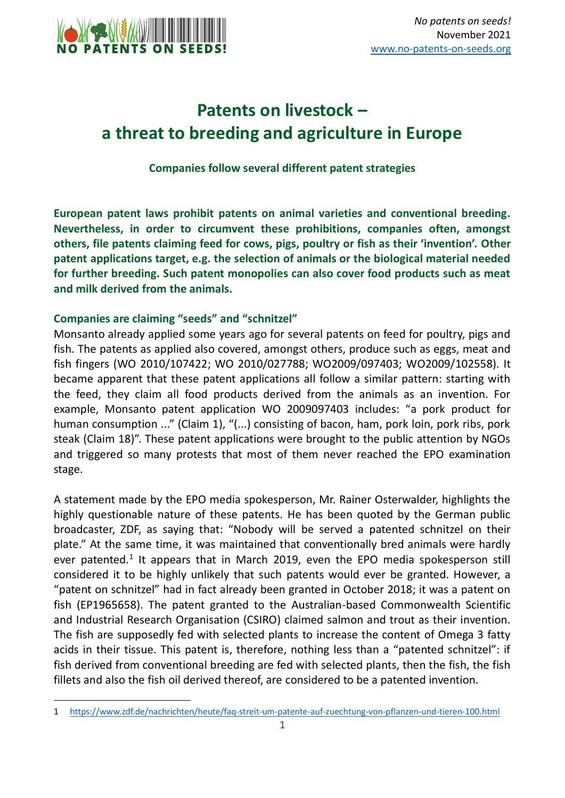

## **Patents on livestock – a threat to breeding and agriculture in Europe**

**Companies follow several different patent strategies**

**European patent laws prohibit patents on animal varieties and conventional breeding. Nevertheless, in order to circumvent these prohibitions, companies often, amongst others, file patents claiming feed for cows, pigs, poultry or fish as their 'invention'. Other patent applications target, e.g. the selection of animals or the biological material needed for further breeding. Such patent monopolies can also cover food products such as meat and milk derived from the animals.** 

## **Companies are claiming "seeds" and "schnitzel"**

<u>.</u>

Monsanto already applied some years ago for several patents on feed for poultry, pigs and fish. The patents as applied also covered, amongst others, produce such as eggs, meat and fish fingers (WO 2010/107422; WO 2010/027788; WO2009/097403; WO2009/102558). It became apparent that these patent applications all follow a similar pattern: starting with the feed, they claim all food products derived from the animals as an invention. For example, Monsanto patent application WO 2009097403 includes: "a pork product for human consumption ..." (Claim 1), "(...) consisting of bacon, ham, pork loin, pork ribs, pork steak (Claim 18)". These patent applications were brought to the public attention by NGOs and triggered so many protests that most of them never reached the EPO examination stage.

A statement made by the EPO media spokesperson, Mr. Rainer Osterwalder, highlights the highly questionable nature of these patents. He has been quoted by the German public broadcaster, ZDF, as saying that: "Nobody will be served a patented schnitzel on their plate." At the same time, it was maintained that conventionally bred animals were hardly ever patented.<sup>1</sup> It appears that in March 2019, even the EPO media spokesperson still considered it to be highly unlikely that such patents would ever be granted. However, a "patent on schnitzel" had in fact already been granted in October 2018; it was a patent on fish (EP1965658). The patent granted to the Australian-based Commonwealth Scientific and Industrial Research Organisation (CSIRO) claimed salmon and trout as their invention. The fish are supposedly fed with selected plants to increase the content of Omega 3 fatty acids in their tissue. This patent is, therefore, nothing less than a "patented schnitzel": if fish derived from conventional breeding are fed with selected plants, then the fish, the fish fillets and also the fish oil derived thereof, are considered to be a patented invention.

<sup>1</sup> <https://www.zdf.de/nachrichten/heute/faq-streit-um-patente-auf-zuechtung-von-pflanzen-und-tieren-100.html>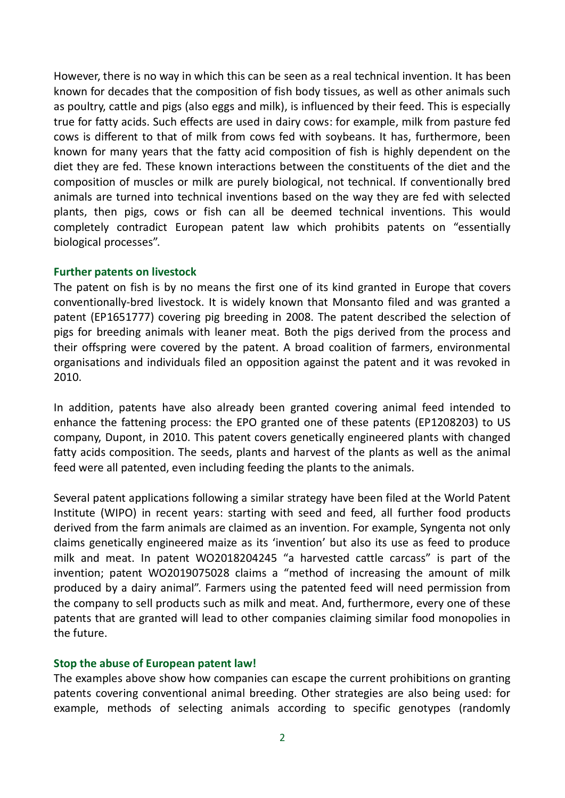However, there is no way in which this can be seen as a real technical invention. It has been known for decades that the composition of fish body tissues, as well as other animals such as poultry, cattle and pigs (also eggs and milk), is influenced by their feed. This is especially true for fatty acids. Such effects are used in dairy cows: for example, milk from pasture fed cows is different to that of milk from cows fed with soybeans. It has, furthermore, been known for many years that the fatty acid composition of fish is highly dependent on the diet they are fed. These known interactions between the constituents of the diet and the composition of muscles or milk are purely biological, not technical. If conventionally bred animals are turned into technical inventions based on the way they are fed with selected plants, then pigs, cows or fish can all be deemed technical inventions. This would completely contradict European patent law which prohibits patents on "essentially biological processes".

## **Further patents on livestock**

The patent on fish is by no means the first one of its kind granted in Europe that covers conventionally-bred livestock. It is widely known that Monsanto filed and was granted a patent (EP1651777) covering pig breeding in 2008. The patent described the selection of pigs for breeding animals with leaner meat. Both the pigs derived from the process and their offspring were covered by the patent. A broad coalition of farmers, environmental organisations and individuals filed an opposition against the patent and it was revoked in 2010.

In addition, patents have also already been granted covering animal feed intended to enhance the fattening process: the EPO granted one of these patents (EP1208203) to US company, Dupont, in 2010. This patent covers genetically engineered plants with changed fatty acids composition. The seeds, plants and harvest of the plants as well as the animal feed were all patented, even including feeding the plants to the animals.

Several patent applications following a similar strategy have been filed at the World Patent Institute (WIPO) in recent years: starting with seed and feed, all further food products derived from the farm animals are claimed as an invention. For example, Syngenta not only claims genetically engineered maize as its 'invention' but also its use as feed to produce milk and meat. In patent WO2018204245 "a harvested cattle carcass" is part of the invention; patent WO2019075028 claims a "method of increasing the amount of milk produced by a dairy animal". Farmers using the patented feed will need permission from the company to sell products such as milk and meat. And, furthermore, every one of these patents that are granted will lead to other companies claiming similar food monopolies in the future.

## **Stop the abuse of European patent law!**

The examples above show how companies can escape the current prohibitions on granting patents covering conventional animal breeding. Other strategies are also being used: for example, methods of selecting animals according to specific genotypes (randomly